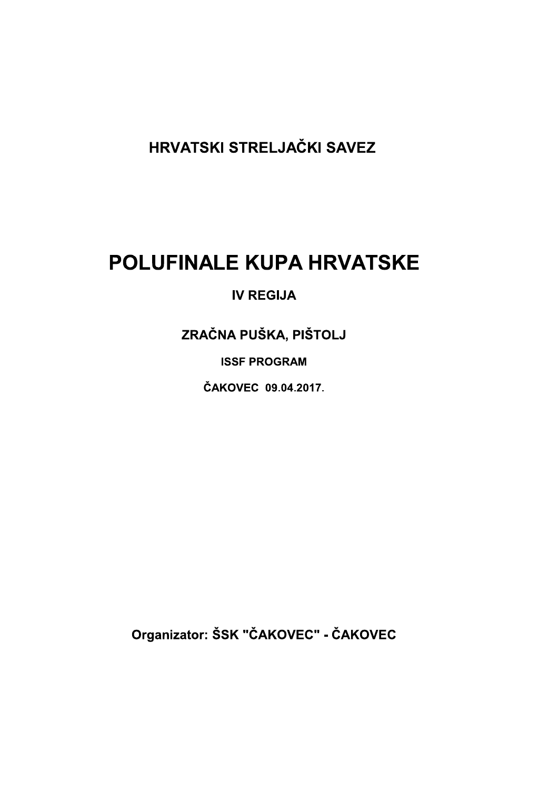HRVATSKI STRELJAČKI SAVEZ

# **POLUFINALE KUPA HRVATSKE**

## **IV REGIJA**

ZRAČNA PUŠKA, PIŠTOLJ

**ISSF PROGRAM** 

ČAKOVEC 09.04.2017.

Organizator: ŠSK "ČAKOVEC" - ČAKOVEC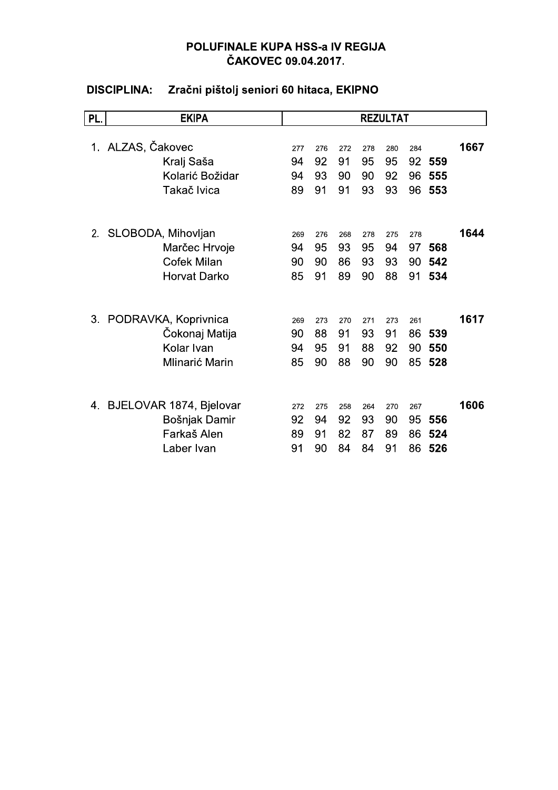| <b>PL</b> | <b>EKIPA</b>            |     |     |     |     | <b>REZULTAT</b> |     |     |      |
|-----------|-------------------------|-----|-----|-----|-----|-----------------|-----|-----|------|
|           |                         |     |     |     |     |                 |     |     |      |
|           | 1. ALZAS, Čakovec       | 277 | 276 | 272 | 278 | 280             | 284 |     | 1667 |
|           | Kralj Saša              | 94  | 92  | 91  | 95  | 95              | 92  | 559 |      |
|           | Kolarić Božidar         | 94  | 93  | 90  | 90  | 92              | 96  | 555 |      |
|           | Takač Ivica             | 89  | 91  | 91  | 93  | 93              | 96  | 553 |      |
|           |                         |     |     |     |     |                 |     |     |      |
| 2.        | SLOBODA, Mihovljan      | 269 | 276 | 268 | 278 | 275             | 278 |     | 1644 |
|           | Marčec Hrvoje           | 94  | 95  | 93  | 95  | 94              | 97  | 568 |      |
|           | <b>Cofek Milan</b>      | 90  | 90  | 86  | 93  | 93              | 90  | 542 |      |
|           | <b>Horvat Darko</b>     | 85  | 91  | 89  | 90  | 88              | 91  | 534 |      |
|           |                         |     |     |     |     |                 |     |     |      |
| 3.        | PODRAVKA, Koprivnica    | 269 | 273 | 270 | 271 | 273             | 261 |     | 1617 |
|           | Čokonaj Matija          | 90  | 88  | 91  | 93  | 91              | 86  | 539 |      |
|           | Kolar Ivan              | 94  | 95  | 91  | 88  | 92              | 90  | 550 |      |
|           | Mlinarić Marin          | 85  | 90  | 88  | 90  | 90              | 85  | 528 |      |
|           |                         |     |     |     |     |                 |     |     |      |
| 4.        | BJELOVAR 1874, Bjelovar | 272 | 275 | 258 | 264 | 270             | 267 |     | 1606 |
|           | Bošnjak Damir           | 92  | 94  | 92  | 93  | 90              | 95  | 556 |      |
|           | Farkaš Alen             | 89  | 91  | 82  | 87  | 89              | 86  | 524 |      |
|           | Laber Ivan              | 91  | 90  | 84  | 84  | 91              | 86  | 526 |      |

#### Zračni pištolj seniori 60 hitaca, EKIPNO **DISCIPLINA:**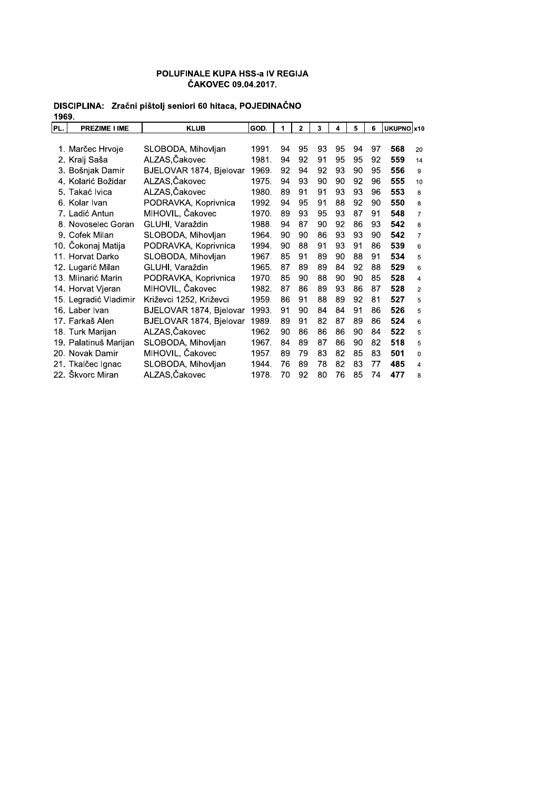| 1909. |                       |                         |       |    |              |    |    |    |    |            |                |
|-------|-----------------------|-------------------------|-------|----|--------------|----|----|----|----|------------|----------------|
| PL.   | <b>PREZIME I IME</b>  | <b>KLUB</b>             | GOD.  | 1  | $\mathbf{2}$ | 3  | 4  | 5  | 6  | UKUPNO x10 |                |
|       |                       |                         |       |    |              |    |    |    |    |            |                |
|       | 1. Marčec Hrvoje      | SLOBODA, Mihovljan      | 1991. | 94 | 95           | 93 | 95 | 94 | 97 | 568        | 20             |
|       | 2. Kralj Saša         | ALZAS, Čakovec          | 1981. | 94 | 92           | 91 | 95 | 95 | 92 | 559        | 14             |
|       | 3. Bošnjak Damir      | BJELOVAR 1874, Bjelovar | 1969. | 92 | 94           | 92 | 93 | 90 | 95 | 556        | 9              |
|       | 4. Kolarić Božidar    | ALZAS, Čakovec          | 1975. | 94 | 93           | 90 | 90 | 92 | 96 | 555        | 10             |
|       | 5. Takać Ivica        | ALZAS,Čakovec           | 1980. | 89 | 91           | 91 | 93 | 93 | 96 | 553        | 8              |
|       | 6. Kolar Ivan         | PODRAVKA, Koprivnica    | 1992. | 94 | 95           | 91 | 88 | 92 | 90 | 550        | 8              |
|       | 7. Ladić Antun        | MIHOVIL, Čakovec        | 1970. | 89 | 93           | 95 | 93 | 87 | 91 | 548        | $\overline{7}$ |
|       | 8. Novoselec Goran    | GLUHI, Varaždin         | 1988. | 94 | 87           | 90 | 92 | 86 | 93 | 542        | 8              |
|       | 9. Cofek Milan        | SLOBODA, Mihovljan      | 1964. | 90 | 90           | 86 | 93 | 93 | 90 | 542        | $\overline{7}$ |
|       | 10. Čokonaj Matija    | PODRAVKA, Koprivnica    | 1994. | 90 | 88           | 91 | 93 | 91 | 86 | 539        | 6              |
|       | 11. Horvat Darko      | SLOBODA, Mihovljan      | 1967. | 85 | 91           | 89 | 90 | 88 | 91 | 534        | 5              |
|       | 12. Lugarić Milan     | GLUHI, Varaždin         | 1965. | 87 | 89           | 89 | 84 | 92 | 88 | 529        | 6              |
|       | 13. Mlinarić Marin    | PODRAVKA, Koprivnica    | 1970. | 85 | 90           | 88 | 90 | 90 | 85 | 528        | $\overline{4}$ |
|       | 14. Horvat Vjeran     | MIHOVIL, Čakovec        | 1982. | 87 | 86           | 89 | 93 | 86 | 87 | 528        | $\overline{2}$ |
|       | 15. Legradić Vladimir | Križevci 1252, Križevci | 1959. | 86 | 91           | 88 | 89 | 92 | 81 | 527        | 5              |
|       | 16. Laber Ivan        | BJELOVAR 1874, Bjelovar | 1993. | 91 | 90           | 84 | 84 | 91 | 86 | 526        | 5              |
|       | 17. Farkaš Alen       | BJELOVAR 1874, Bjelovar | 1989. | 89 | 91           | 82 | 87 | 89 | 86 | 524        | 6              |
|       | 18. Turk Marijan      | ALZAS, Čakovec          | 1962. | 90 | 86           | 86 | 86 | 90 | 84 | 522        | 5              |
|       | 19. Palatinuš Marijan | SLOBODA, Mihovljan      | 1967. | 84 | 89           | 87 | 86 | 90 | 82 | 518        | 5              |
|       | 20. Novak Damir       | MIHOVIL, Čakovec        | 1957. | 89 | 79           | 83 | 82 | 85 | 83 | 501        | $\mathbf 0$    |
|       | 21. Tkalčec Ignac     | SLOBODA, Mihovljan      | 1944. | 76 | 89           | 78 | 82 | 83 | 77 | 485        | $\overline{4}$ |
|       | 22. Škvorc Miran      | ALZAS,Čakovec           | 1978. | 70 | 92           | 80 | 76 | 85 | 74 | 477        | 8              |
|       |                       |                         |       |    |              |    |    |    |    |            |                |

# DISCIPLINA: Zračni pištolj seniori 60 hitaca, POJEDINAČNO<br>1969.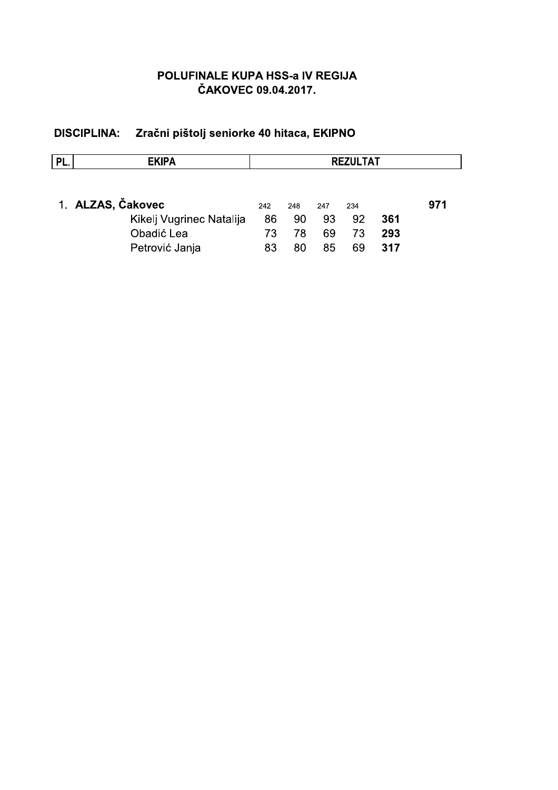| PL. | <b>EKIPA</b>             | <b>REZULTAT</b> |     |     |     |     |     |
|-----|--------------------------|-----------------|-----|-----|-----|-----|-----|
|     | 1. ALZAS, Čakovec        | 242             | 248 | 247 | 234 |     | 971 |
|     | Kikelj Vugrinec Natalija | 86              | 90  | 93  | 92  | 361 |     |
|     | Obadić Lea               | 73              | 78  | 69  | 73  | 293 |     |
|     | Petrović Janja           | 83              | 80  | 85  | 69  | 317 |     |

# DISCIPLINA: Zračni pištolj seniorke 40 hitaca, EKIPNO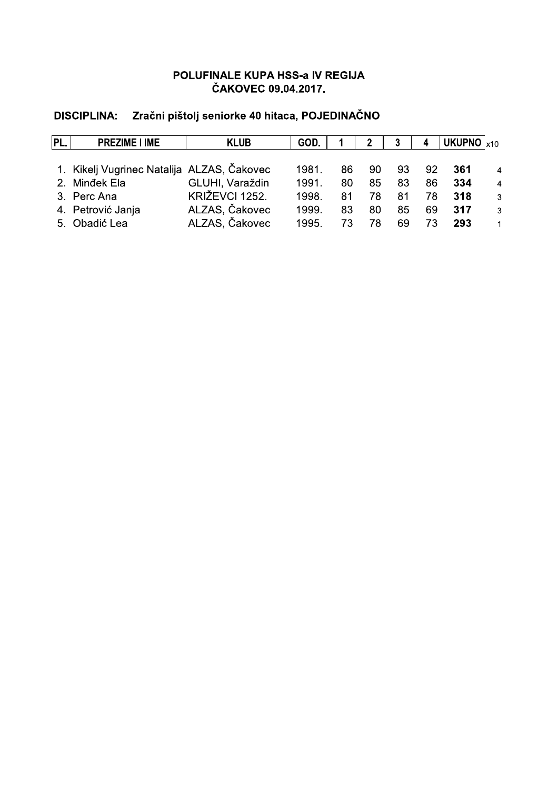# DISCIPLINA: Zračni pištolj seniorke 40 hitaca, POJEDINAČNO

| PL. | <b>PREZIME I IME</b>                       | <b>KLUB</b>     | GOD.  |     |    |    |    | UKUPNO $x10$ |                |
|-----|--------------------------------------------|-----------------|-------|-----|----|----|----|--------------|----------------|
|     |                                            |                 |       |     |    |    |    |              |                |
|     | 1. Kikelj Vugrinec Natalija ALZAS, Čakovec |                 | 1981  | 86. | 90 | 93 | 92 | 361          | $\overline{4}$ |
|     | 2. Mindek Ela                              | GLUHI, Varaždin | 1991  | 80  | 85 | 83 | 86 | 334          | $\overline{4}$ |
|     | 3. Perc Ana                                | KRIŽEVCI 1252.  | 1998. | 81  | 78 | 81 | 78 | 318          | 3              |
|     | 4. Petrović Janja                          | ALZAS, Čakovec  | 1999. | 83  | 80 | 85 | 69 | 317          | 3              |
|     | 5. Obadić Lea                              | ALZAS, Čakovec  | 1995. | 73  | 78 | 69 | 73 | 293          |                |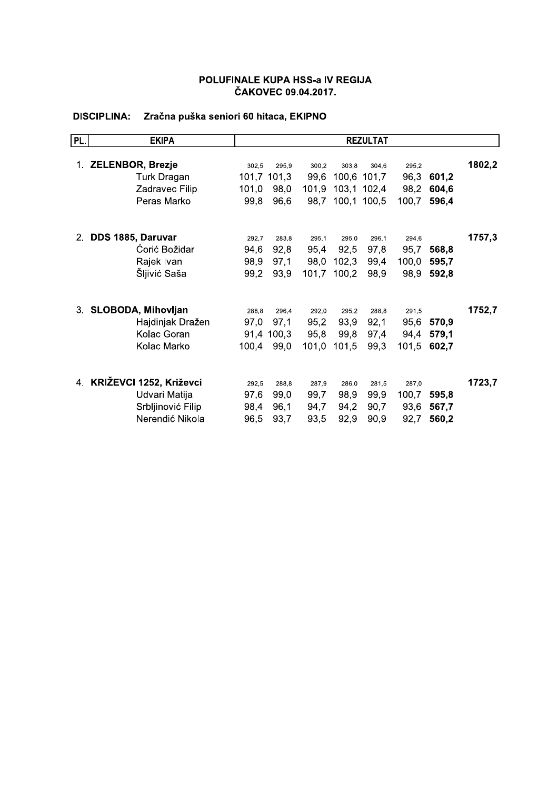## DISCIPLINA: Zračna puška seniori 60 hitaca, EKIPNO

| PL.   | <b>EKIPA</b>               |               |               |               |               | <b>REZULTAT</b> |               |       |        |
|-------|----------------------------|---------------|---------------|---------------|---------------|-----------------|---------------|-------|--------|
|       |                            |               |               |               |               |                 |               |       |        |
|       | 1. ZELENBOR, Brezje        | 302,5         | 295,9         | 300,2         | 303,8         | 304.6           | 295,2         |       | 1802,2 |
|       | Turk Dragan                |               | 101,7 101,3   | 99,6          |               | 100,6 101,7     | 96,3          | 601,2 |        |
|       | Zadravec Filip             | 101,0         | 98,0          | 101,9         |               | 103,1 102,4     | 98,2          | 604,6 |        |
|       | Peras Marko                | 99,8          | 96,6          | 98,7          |               | 100,1 100,5     | 100,7         | 596,4 |        |
| $2 -$ | DDS 1885, Daruvar          |               |               |               |               |                 |               |       | 1757,3 |
|       | Ćorić Božidar              | 292,7<br>94,6 | 283,8<br>92,8 | 295,1<br>95,4 | 295,0<br>92,5 | 296,1<br>97,8   | 294,6<br>95,7 | 568,8 |        |
|       | Rajek Ivan                 | 98,9          | 97,1          | 98,0          | 102,3         | 99,4            | 100,0         | 595,7 |        |
|       | Šljivić Saša               | 99,2          | 93,9          | 101,7         |               |                 |               |       |        |
|       |                            |               |               |               | 100,2         | 98,9            | 98,9          | 592,8 |        |
| 3.    | <b>SLOBODA, Mihovljan</b>  | 288,8         | 296.4         | 292.0         | 295,2         | 288,8           | 291.5         |       | 1752,7 |
|       | Hajdinjak Dražen           | 97,0          | 97,1          | 95,2          | 93,9          | 92,1            | 95,6          | 570,9 |        |
|       | Kolac Goran                |               | 91,4 100,3    | 95,8          | 99,8          | 97,4            | 94,4          | 579,1 |        |
|       | Kolac Marko                | 100,4         | 99,0          | 101,0         | 101,5         | 99,3            | 101,5         | 602,7 |        |
|       | 4. KRIŽEVCI 1252, Križevci | 292,5         | 288.8         | 287.9         | 286.0         | 281.5           | 287,0         |       | 1723,7 |
|       | Udvari Matija              | 97,6          | 99,0          | 99,7          | 98,9          | 99,9            | 100,7         | 595,8 |        |
|       | Srbljinović Filip          | 98,4          | 96,1          | 94,7          | 94,2          | 90,7            | 93,6          | 567,7 |        |
|       | Nerendić Nikola            | 96,5          | 93,7          | 93,5          | 92,9          | 90,9            | 92,7          | 560,2 |        |
|       |                            |               |               |               |               |                 |               |       |        |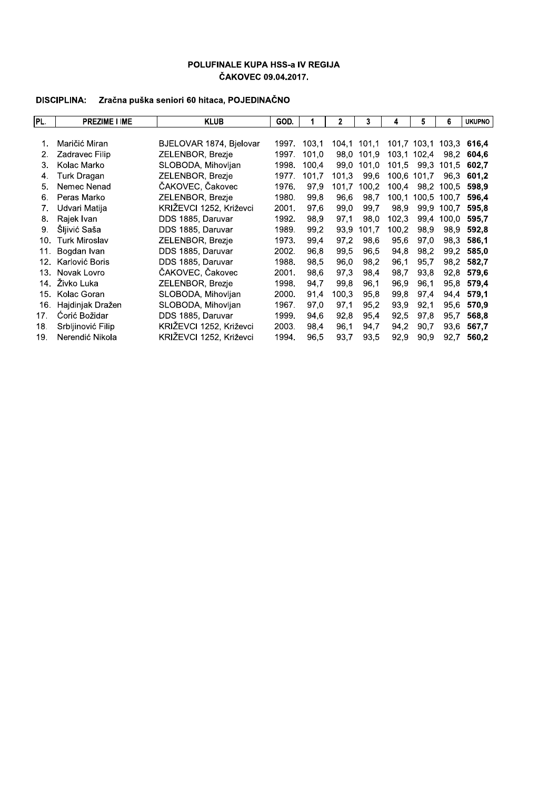## DISCIPLINA: Zračna puška seniori 60 hitaca, POJEDINAČNO

| PL. | <b>PREZIME I IME</b> | <b>KLUB</b>             | GOD.  |       | $\mathbf{2}$ | 3     | 4     | 5           | 6     | <b>UKUPNO</b> |
|-----|----------------------|-------------------------|-------|-------|--------------|-------|-------|-------------|-------|---------------|
|     |                      |                         |       |       |              |       |       |             |       |               |
| 1.  | Maričić Miran        | BJELOVAR 1874, Bjelovar | 1997. | 103.1 | 104.1        | 101,1 |       | 101.7 103.1 | 103.3 | 616.4         |
| 2.  | Zadravec Filip       | <b>ZELENBOR, Brezje</b> | 1997. | 101.0 | 98.0         | 101.9 |       | 103,1 102,4 | 98.2  | 604.6         |
| 3.  | Kolac Marko          | SLOBODA, Mihovlian      | 1998. | 100.4 | 99.0         | 101.0 | 101.5 | 99.3        | 101.5 | 602.7         |
| 4.  | Turk Dragan          | ZELENBOR, Brezje        | 1977. | 101,7 | 101,3        | 99.6  | 100.6 | 101,7       | 96.3  | 601,2         |
| 5.  | Nemec Nenad          | ČAKOVEC, Čakovec        | 1976. | 97.9  | 101.7        | 100.2 | 100.4 | 98.2        | 100.5 | 598.9         |
| 6.  | Peras Marko          | ZELENBOR, Brezie        | 1980. | 99.8  | 96.6         | 98.7  | 100.1 | 100.5       | 100.7 | 596.4         |
| 7.  | Udvari Matija        | KRIŽEVCI 1252, Križevci | 2001. | 97,6  | 99,0         | 99.7  | 98,9  | 99.9        | 100.7 | 595.8         |
| 8.  | Rajek Ivan           | DDS 1885, Daruvar       | 1992. | 98.9  | 97.1         | 98.0  | 102.3 | 99.4        | 100.0 | 595.7         |
| 9.  | Šljivić Saša         | DDS 1885, Daruvar       | 1989. | 99.2  | 93,9         | 101.7 | 100,2 | 98.9        | 98.9  | 592.8         |
| 10. | <b>Turk Miroslav</b> | ZELENBOR, Brezje        | 1973. | 99.4  | 97.2         | 98.6  | 95.6  | 97.0        | 98.3  | 586.1         |
| 11. | Bogdan Ivan          | DDS 1885, Daruvar       | 2002. | 96,8  | 99.5         | 96.5  | 94.8  | 98,2        | 99,2  | 585,0         |
| 12. | Karlović Boris       | DDS 1885, Daruvar       | 1988. | 98.5  | 96,0         | 98.2  | 96,1  | 95.7        | 98.2  | 582.7         |
| 13. | Novak Lovro          | ČAKOVEC, Čakovec        | 2001. | 98.6  | 97.3         | 98.4  | 98,7  | 93.8        | 92,8  | 579.6         |
| 14. | Živko Luka           | ZELENBOR, Brezje        | 1998. | 94,7  | 99.8         | 96.1  | 96,9  | 96.1        | 95.8  | 579.4         |
| 15. | Kolac Goran          | SLOBODA, Mihovljan      | 2000. | 91,4  | 100.3        | 95.8  | 99.8  | 97.4        | 94.4  | 579.1         |
| 16. | Hajdinjak Dražen     | SLOBODA, Mihovljan      | 1967. | 97,0  | 97,1         | 95,2  | 93.9  | 92,1        | 95,6  | 570,9         |
| 17. | Ćorić Božidar        | DDS 1885, Daruvar       | 1999. | 94.6  | 92.8         | 95.4  | 92,5  | 97.8        | 95.7  | 568,8         |
| 18. | Srbljinović Filip    | KRIŽEVCI 1252, Križevci | 2003. | 98,4  | 96.1         | 94,7  | 94,2  | 90,7        | 93,6  | 567.7         |
| 19. | Nerendić Nikola      | KRIŽEVCI 1252. Križevci | 1994. | 96,5  | 93,7         | 93,5  | 92,9  | 90.9        | 92,7  | 560.2         |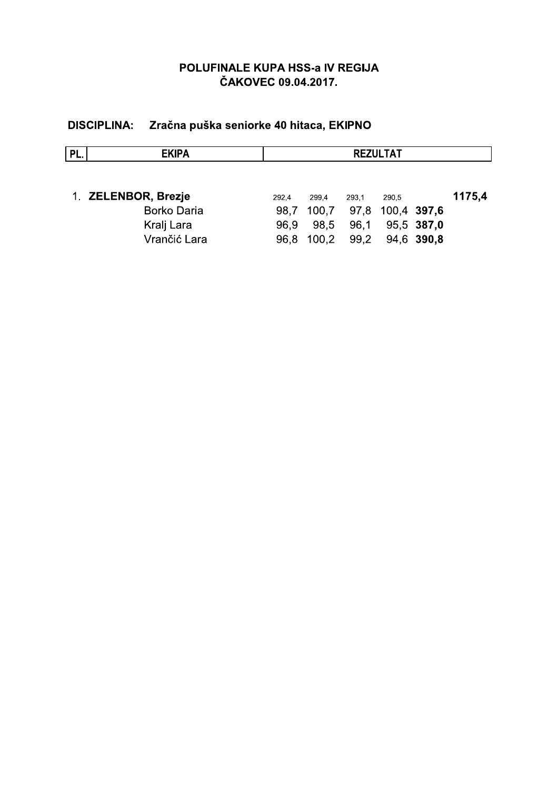# DISCIPLINA: Zračna puška seniorke 40 hitaca, EKIPNO

| PL. | <b>EKIPA</b>        | <b>REZULTAT</b> |       |                        |                 |            |        |  |
|-----|---------------------|-----------------|-------|------------------------|-----------------|------------|--------|--|
|     |                     |                 |       |                        |                 |            |        |  |
|     | 1. ZELENBOR, Brezje | 292.4           | 299.4 | 293.1                  | 290.5           |            | 1175,4 |  |
|     | <b>Borko Daria</b>  | 98.7            |       | 100,7 97,8 100,4 397,6 |                 |            |        |  |
|     | Kralj Lara          | 96.9            | 98.5  | 96.1                   |                 | 95.5 387,0 |        |  |
|     | Vrančić Lara        | 96.8            | 100.2 |                        | 99,2 94,6 390,8 |            |        |  |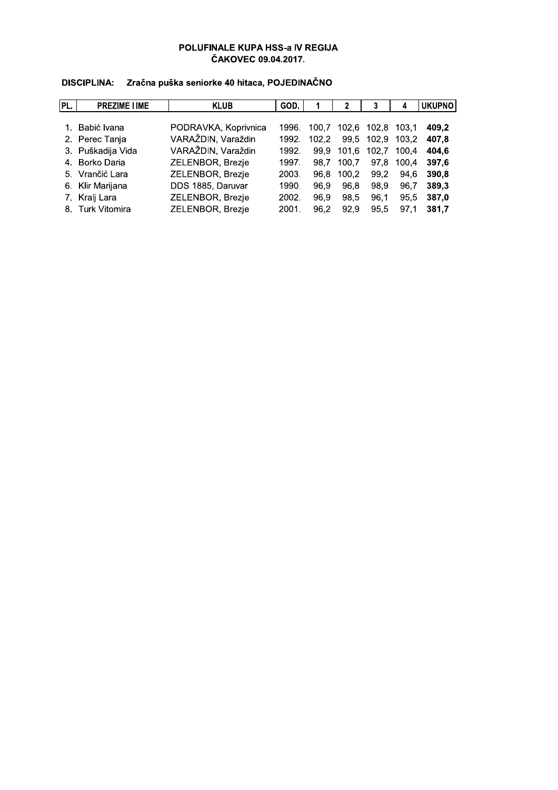| PL. | <b>PREZIME I IME</b> | <b>KLUB</b>          | GOD.  |       |       | 3                 |       | <b>UKUPNO</b> |
|-----|----------------------|----------------------|-------|-------|-------|-------------------|-------|---------------|
|     |                      |                      |       |       |       |                   |       |               |
|     | 1. Babić Ivana       | PODRAVKA, Koprivnica | 1996. | 100.7 |       | 102.6 102.8 103.1 |       | 409.2         |
|     | 2. Perec Tanja       | VARAŽDIN, Varaždin   | 1992. | 102.2 | 99,5  | 102,9 103,2       |       | 407.8         |
|     | 3. Puškadija Vida    | VARAŽDIN, Varaždin   | 1992. | 99.9  | 101.6 | 102.7 100.4       |       | 404.6         |
|     | 4. Borko Daria       | ZELENBOR, Brezje     | 1997. | 98.7  | 100.7 | 97.8              | 100.4 | 397.6         |
|     | 5. Vrančić Lara      | ZELENBOR, Brezje     | 2003. | 96.8  | 100.2 | 99.2              | 94.6  | 390.8         |
|     | 6. Klir Marijana     | DDS 1885, Daruvar    | 1990. | 96.9  | 96.8  | 98.9              | 96.7  | 389.3         |
|     | 7. Kralj Lara        | ZELENBOR, Brezje     | 2002. | 96.9  | 98.5  | 96.1              | 95.5  | 387.0         |
|     | 8. Turk Vitomira     | ZELENBOR, Brezje     | 2001. | 96.2  | 92.9  | 95.5              | 97.1  | 381.7         |

#### DISCIPLINA: Zračna puška seniorke 40 hitaca, POJEDINAČNO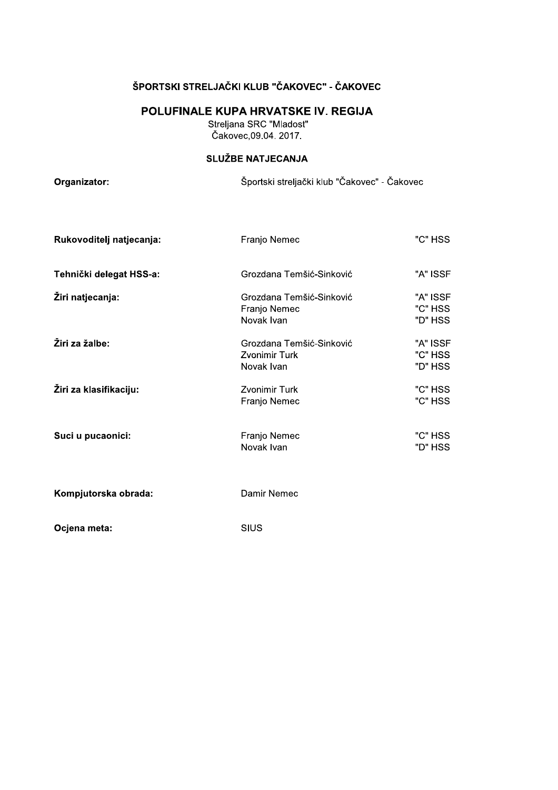### ŠPORTSKI STRELJAČKI KLUB "ČAKOVEC" - ČAKOVEC

## POLUFINALE KUPA HRVATSKE IV. REGIJA

Streljana SRC "Mladost"<br>Čakovec, 09.04. 2017.

## SLUŽBE NATJECANJA

Organizator:

Športski streljački klub "Čakovec" - Čakovec

| Rukovoditelj natjecanja: | Franjo Nemec                                                   | "C" HSS                        |
|--------------------------|----------------------------------------------------------------|--------------------------------|
| Tehnički delegat HSS-a:  | Grozdana Temšić-Sinković                                       | "A" ISSF                       |
| Žiri natjecanja:         | Grozdana Temšić-Sinković<br>Franjo Nemec<br>Novak Ivan         | "A" ISSF<br>"C" HSS<br>"D" HSS |
| Žiri za žalbe:           | Grozdana Temšić-Sinković<br><b>Zvonimir Turk</b><br>Novak Ivan | "A" ISSF<br>"C" HSS<br>"D" HSS |
| Žiri za klasifikaciju:   | Zvonimir Turk<br>Franjo Nemec                                  | "C" HSS<br>"C" HSS             |
| Suci u pucaonici:        | Franjo Nemec<br>Novak Ivan                                     | "C" HSS<br>"D" HSS             |
| Kompjutorska obrada:     | Damir Nemec                                                    |                                |
| Ocjena meta:             | SIUS                                                           |                                |